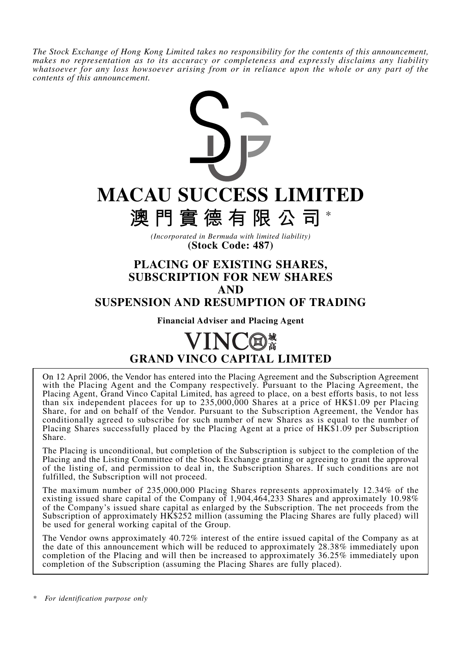*The Stock Exchange of Hong Kong Limited takes no responsibility for the contents of this announcement, makes no representation as to its accuracy or completeness and expressly disclaims any liability whatsoever for any loss howsoever arising from or in reliance upon the whole or any part of the contents of this announcement.*



## **SUSPENSION AND RESUMPTION OF TRADING**

**Financial Adviser and Placing Agent**

# **GRAND VINCO CAPITAL LIMITED**

On 12 April 2006, the Vendor has entered into the Placing Agreement and the Subscription Agreement with the Placing Agent and the Company respectively. Pursuant to the Placing Agreement, the Placing Agent, Grand Vinco Capital Limited, has agreed to place, on a best efforts basis, to not less than six independent placees for up to  $235,000,000$  Shares at a price of HK\$1.09 per Placing Share, for and on behalf of the Vendor. Pursuant to the Subscription Agreement, the Vendor has conditionally agreed to subscribe for such number of new Shares as is equal to the number of Placing Shares successfully placed by the Placing Agent at a price of HK\$1.09 per Subscription Share.

The Placing is unconditional, but completion of the Subscription is subject to the completion of the Placing and the Listing Committee of the Stock Exchange granting or agreeing to grant the approval of the listing of, and permission to deal in, the Subscription Shares. If such conditions are not fulfilled, the Subscription will not proceed.

The maximum number of 235,000,000 Placing Shares represents approximately 12.34% of the existing issued share capital of the Company of 1,904,464,233 Shares and approximately 10.98% of the Company's issued share capital as enlarged by the Subscription. The net proceeds from the Subscription of approximately HK\$252 million (assuming the Placing Shares are fully placed) will be used for general working capital of the Group.

The Vendor owns approximately 40.72% interest of the entire issued capital of the Company as at the date of this announcement which will be reduced to approximately 28.38% immediately upon completion of the Placing and will then be increased to approximately 36.25% immediately upon completion of the Subscription (assuming the Placing Shares are fully placed).

*\* For identification purpose only*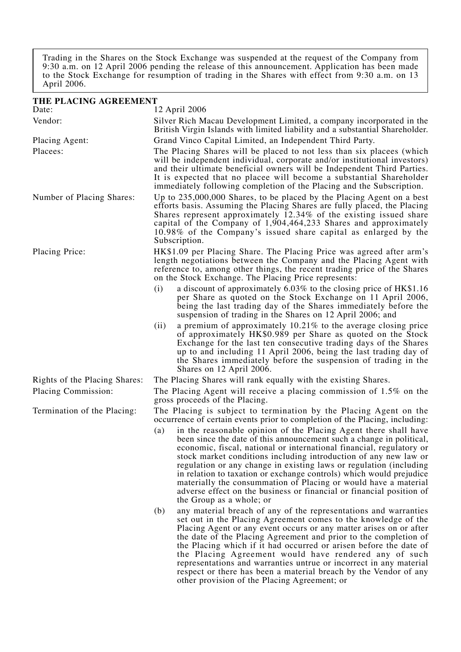Trading in the Shares on the Stock Exchange was suspended at the request of the Company from 9:30 a.m. on 12 April 2006 pending the release of this announcement. Application has been made to the Stock Exchange for resumption of trading in the Shares with effect from 9:30 a.m. on 13 April 2006.

| THE PLACING AGREEMENT         |                                                                                                                                                                                                                                                                                                                                                                                                                                                                                                                                                                                                                |  |  |  |
|-------------------------------|----------------------------------------------------------------------------------------------------------------------------------------------------------------------------------------------------------------------------------------------------------------------------------------------------------------------------------------------------------------------------------------------------------------------------------------------------------------------------------------------------------------------------------------------------------------------------------------------------------------|--|--|--|
| Date:                         | 12 April 2006                                                                                                                                                                                                                                                                                                                                                                                                                                                                                                                                                                                                  |  |  |  |
| Vendor:                       | Silver Rich Macau Development Limited, a company incorporated in the<br>British Virgin Islands with limited liability and a substantial Shareholder.                                                                                                                                                                                                                                                                                                                                                                                                                                                           |  |  |  |
| Placing Agent:                | Grand Vinco Capital Limited, an Independent Third Party.                                                                                                                                                                                                                                                                                                                                                                                                                                                                                                                                                       |  |  |  |
| Placees:                      | The Placing Shares will be placed to not less than six placees (which<br>will be independent individual, corporate and/or institutional investors)<br>and their ultimate beneficial owners will be Independent Third Parties.<br>It is expected that no placee will become a substantial Shareholder<br>immediately following completion of the Placing and the Subscription.                                                                                                                                                                                                                                  |  |  |  |
| Number of Placing Shares:     | Up to 235,000,000 Shares, to be placed by the Placing Agent on a best<br>efforts basis. Assuming the Placing Shares are fully placed, the Placing<br>Shares represent approximately 12.34% of the existing issued share<br>capital of the Company of 1,904,464,233 Shares and approximately<br>10.98% of the Company's issued share capital as enlarged by the<br>Subscription.                                                                                                                                                                                                                                |  |  |  |
| Placing Price:                | HK\$1.09 per Placing Share. The Placing Price was agreed after arm's<br>length negotiations between the Company and the Placing Agent with<br>reference to, among other things, the recent trading price of the Shares<br>on the Stock Exchange. The Placing Price represents:                                                                                                                                                                                                                                                                                                                                 |  |  |  |
|                               | a discount of approximately 6.03% to the closing price of HK\$1.16<br>(i)<br>per Share as quoted on the Stock Exchange on 11 April 2006,<br>being the last trading day of the Shares immediately before the<br>suspension of trading in the Shares on 12 April 2006; and                                                                                                                                                                                                                                                                                                                                       |  |  |  |
|                               | (ii)<br>a premium of approximately $10.21\%$ to the average closing price<br>of approximately HK\$0.989 per Share as quoted on the Stock<br>Exchange for the last ten consecutive trading days of the Shares<br>up to and including 11 April 2006, being the last trading day of<br>the Shares immediately before the suspension of trading in the<br>Shares on 12 April 2006.                                                                                                                                                                                                                                 |  |  |  |
| Rights of the Placing Shares: | The Placing Shares will rank equally with the existing Shares.                                                                                                                                                                                                                                                                                                                                                                                                                                                                                                                                                 |  |  |  |
| Placing Commission:           | The Placing Agent will receive a placing commission of 1.5% on the<br>gross proceeds of the Placing.                                                                                                                                                                                                                                                                                                                                                                                                                                                                                                           |  |  |  |
| Termination of the Placing:   | The Placing is subject to termination by the Placing Agent on the<br>occurrence of certain events prior to completion of the Placing, including:                                                                                                                                                                                                                                                                                                                                                                                                                                                               |  |  |  |
|                               | in the reasonable opinion of the Placing Agent there shall have<br>(a)<br>been since the date of this announcement such a change in political,<br>economic, fiscal, national or international financial, regulatory or<br>stock market conditions including introduction of any new law or<br>regulation or any change in existing laws or regulation (including<br>in relation to taxation or exchange controls) which would prejudice<br>materially the consummation of Placing or would have a material<br>adverse effect on the business or financial or financial position of<br>the Group as a whole; or |  |  |  |
|                               | (b)<br>any material breach of any of the representations and warranties<br>set out in the Placing Agreement comes to the knowledge of the<br>Placing Agent or any event occurs or any matter arises on or after<br>the date of the Placing Agreement and prior to the completion of<br>the Placing which if it had occurred or arisen before the date of<br>the Placing Agreement would have rendered any of such<br>representations and warranties untrue or incorrect in any material<br>respect or there has been a material breach by the Vendor of any<br>other provision of the Placing Agreement; or    |  |  |  |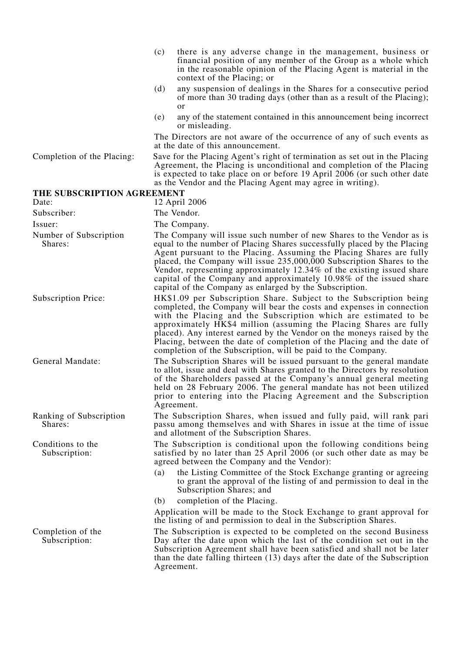|                                           | (c) | there is any adverse change in the management, business or<br>financial position of any member of the Group as a whole which<br>in the reasonable opinion of the Placing Agent is material in the<br>context of the Placing; or                                                                                                                                                                                                                                                                               |
|-------------------------------------------|-----|---------------------------------------------------------------------------------------------------------------------------------------------------------------------------------------------------------------------------------------------------------------------------------------------------------------------------------------------------------------------------------------------------------------------------------------------------------------------------------------------------------------|
|                                           | (d) | any suspension of dealings in the Shares for a consecutive period<br>of more than 30 trading days (other than as a result of the Placing);<br><sub>or</sub>                                                                                                                                                                                                                                                                                                                                                   |
|                                           | (e) | any of the statement contained in this announcement being incorrect<br>or misleading.                                                                                                                                                                                                                                                                                                                                                                                                                         |
|                                           |     | The Directors are not aware of the occurrence of any of such events as<br>at the date of this announcement.                                                                                                                                                                                                                                                                                                                                                                                                   |
| Completion of the Placing:                |     | Save for the Placing Agent's right of termination as set out in the Placing<br>Agreement, the Placing is unconditional and completion of the Placing<br>is expected to take place on or before 19 April 2006 (or such other date<br>as the Vendor and the Placing Agent may agree in writing).                                                                                                                                                                                                                |
| THE SUBSCRIPTION AGREEMENT                |     |                                                                                                                                                                                                                                                                                                                                                                                                                                                                                                               |
| Date:                                     |     | 12 April 2006                                                                                                                                                                                                                                                                                                                                                                                                                                                                                                 |
| Subscriber:                               |     | The Vendor.                                                                                                                                                                                                                                                                                                                                                                                                                                                                                                   |
| Issuer:                                   |     | The Company.                                                                                                                                                                                                                                                                                                                                                                                                                                                                                                  |
| Number of Subscription<br>Shares:         |     | The Company will issue such number of new Shares to the Vendor as is<br>equal to the number of Placing Shares successfully placed by the Placing<br>Agent pursuant to the Placing. Assuming the Placing Shares are fully<br>placed, the Company will issue 235,000,000 Subscription Shares to the<br>Vendor, representing approximately 12.34% of the existing issued share<br>capital of the Company and approximately 10.98% of the issued share<br>capital of the Company as enlarged by the Subscription. |
| <b>Subscription Price:</b>                |     | HK\$1.09 per Subscription Share. Subject to the Subscription being<br>completed, the Company will bear the costs and expenses in connection<br>with the Placing and the Subscription which are estimated to be<br>approximately HK\$4 million (assuming the Placing Shares are fully<br>placed). Any interest earned by the Vendor on the moneys raised by the<br>Placing, between the date of completion of the Placing and the date of<br>completion of the Subscription, will be paid to the Company.      |
| General Mandate:                          |     | The Subscription Shares will be issued pursuant to the general mandate<br>to allot, issue and deal with Shares granted to the Directors by resolution<br>of the Shareholders passed at the Company's annual general meeting<br>held on 28 February 2006. The general mandate has not been utilized<br>prior to entering into the Placing Agreement and the Subscription<br>Agreement.                                                                                                                         |
| <b>Ranking of Subscription</b><br>Shares: |     | The Subscription Shares, when issued and fully paid, will rank pari<br>passu among themselves and with Shares in issue at the time of issue<br>and allotment of the Subscription Shares.                                                                                                                                                                                                                                                                                                                      |
| Conditions to the<br>Subscription:        |     | The Subscription is conditional upon the following conditions being<br>satisfied by no later than 25 April 2006 (or such other date as may be<br>agreed between the Company and the Vendor):                                                                                                                                                                                                                                                                                                                  |
|                                           | (a) | the Listing Committee of the Stock Exchange granting or agreeing<br>to grant the approval of the listing of and permission to deal in the<br>Subscription Shares; and                                                                                                                                                                                                                                                                                                                                         |
|                                           | (b) | completion of the Placing.                                                                                                                                                                                                                                                                                                                                                                                                                                                                                    |
|                                           |     | Application will be made to the Stock Exchange to grant approval for<br>the listing of and permission to deal in the Subscription Shares.                                                                                                                                                                                                                                                                                                                                                                     |
| Completion of the<br>Subscription:        |     | The Subscription is expected to be completed on the second Business<br>Day after the date upon which the last of the condition set out in the<br>Subscription Agreement shall have been satisfied and shall not be later<br>than the date falling thirteen (13) days after the date of the Subscription<br>Agreement.                                                                                                                                                                                         |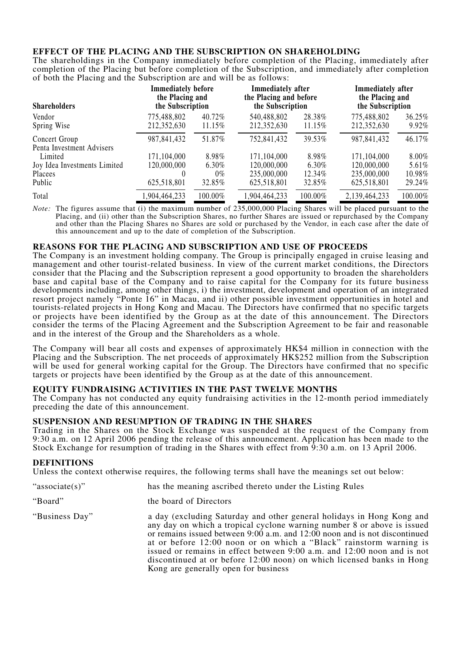### **EFFECT OF THE PLACING AND THE SUBSCRIPTION ON SHAREHOLDING**

The shareholdings in the Company immediately before completion of the Placing, immediately after completion of the Placing but before completion of the Subscription, and immediately after completion of both the Placing and the Subscription are and will be as follows:

| <b>Shareholders</b>          | <b>Immediately before</b><br>the Placing and<br>the Subscription |         | <b>Immediately</b> after<br>the Placing and before<br>the Subscription |         | <b>Immediately</b> after<br>the Placing and<br>the Subscription |         |
|------------------------------|------------------------------------------------------------------|---------|------------------------------------------------------------------------|---------|-----------------------------------------------------------------|---------|
| Vendor                       | 775,488,802                                                      | 40.72%  | 540,488,802                                                            | 28.38%  | 775,488,802                                                     | 36.25%  |
| Spring Wise                  | 212,352,630                                                      | 11.15%  | 212,352,630                                                            | 11.15%  | 212,352,630                                                     | 9.92%   |
| Concert Group                | 987, 841, 432                                                    | 51.87%  | 752,841,432                                                            | 39.53%  | 987, 841, 432                                                   | 46.17%  |
| Penta Investment Advisers    |                                                                  |         |                                                                        |         |                                                                 |         |
| Limited                      | 171,104,000                                                      | 8.98%   | 171,104,000                                                            | 8.98%   | 171,104,000                                                     | 8.00%   |
| Joy Idea Investments Limited | 120,000,000                                                      | 6.30%   | 120,000,000                                                            | 6.30%   | 120,000,000                                                     | 5.61%   |
| Placees                      | $\theta$                                                         | $0\%$   | 235,000,000                                                            | 12.34%  | 235,000,000                                                     | 10.98%  |
| Public                       | 625,518,801                                                      | 32.85%  | 625,518,801                                                            | 32.85%  | 625,518,801                                                     | 29.24%  |
| Total                        | 1,904,464,233                                                    | 100.00% | 1,904,464,233                                                          | 100.00% | 2,139,464,233                                                   | 100.00% |

*Note:* The figures assume that (i) the maximum number of 235,000,000 Placing Shares will be placed pursuant to the Placing, and (ii) other than the Subscription Shares, no further Shares are issued or repurchased by the Company and other than the Placing Shares no Shares are sold or purchased by the Vendor, in each case after the date of this announcement and up to the date of completion of the Subscription.

#### **REASONS FOR THE PLACING AND SUBSCRIPTION AND USE OF PROCEEDS**

The Company is an investment holding company. The Group is principally engaged in cruise leasing and management and other tourist-related business. In view of the current market conditions, the Directors consider that the Placing and the Subscription represent a good opportunity to broaden the shareholders base and capital base of the Company and to raise capital for the Company for its future business developments including, among other things, i) the investment, development and operation of an integrated resort project namely "Ponte 16" in Macau, and ii) other possible investment opportunities in hotel and tourists-related projects in Hong Kong and Macau. The Directors have confirmed that no specific targets or projects have been identified by the Group as at the date of this announcement. The Directors consider the terms of the Placing Agreement and the Subscription Agreement to be fair and reasonable and in the interest of the Group and the Shareholders as a whole.

The Company will bear all costs and expenses of approximately HK\$4 million in connection with the Placing and the Subscription. The net proceeds of approximately HK\$252 million from the Subscription will be used for general working capital for the Group. The Directors have confirmed that no specific targets or projects have been identified by the Group as at the date of this announcement.

#### **EQUITY FUNDRAISING ACTIVITIES IN THE PAST TWELVE MONTHS**

The Company has not conducted any equity fundraising activities in the 12-month period immediately preceding the date of this announcement.

#### **SUSPENSION AND RESUMPTION OF TRADING IN THE SHARES**

Trading in the Shares on the Stock Exchange was suspended at the request of the Company from 9:30 a.m. on 12 April 2006 pending the release of this announcement. Application has been made to the Stock Exchange for resumption of trading in the Shares with effect from 9:30 a.m. on 13 April 2006.

#### **DEFINITIONS**

Unless the context otherwise requires, the following terms shall have the meanings set out below:

- "associate(s)" has the meaning ascribed thereto under the Listing Rules
- "Board" the board of Directors
- "Business Day" a day (excluding Saturday and other general holidays in Hong Kong and any day on which a tropical cyclone warning number 8 or above is issued or remains issued between 9:00 a.m. and 12:00 noon and is not discontinued at or before 12:00 noon or on which a "Black" rainstorm warning is issued or remains in effect between 9:00 a.m. and 12:00 noon and is not discontinued at or before 12:00 noon) on which licensed banks in Hong Kong are generally open for business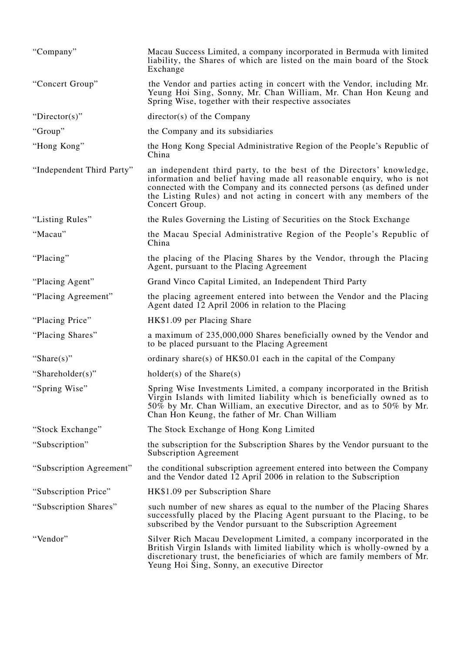| "Company"                 | Macau Success Limited, a company incorporated in Bermuda with limited<br>liability, the Shares of which are listed on the main board of the Stock<br>Exchange                                                                                                                                                     |
|---------------------------|-------------------------------------------------------------------------------------------------------------------------------------------------------------------------------------------------------------------------------------------------------------------------------------------------------------------|
| "Concert Group"           | the Vendor and parties acting in concert with the Vendor, including Mr.<br>Yeung Hoi Sing, Sonny, Mr. Chan William, Mr. Chan Hon Keung and<br>Spring Wise, together with their respective associates                                                                                                              |
| "Director(s)"             | director(s) of the Company                                                                                                                                                                                                                                                                                        |
| "Group"                   | the Company and its subsidiaries                                                                                                                                                                                                                                                                                  |
| "Hong Kong"               | the Hong Kong Special Administrative Region of the People's Republic of<br>China                                                                                                                                                                                                                                  |
| "Independent Third Party" | an independent third party, to the best of the Directors' knowledge,<br>information and belief having made all reasonable enquiry, who is not<br>connected with the Company and its connected persons (as defined under<br>the Listing Rules) and not acting in concert with any members of the<br>Concert Group. |
| "Listing Rules"           | the Rules Governing the Listing of Securities on the Stock Exchange                                                                                                                                                                                                                                               |
| "Macau"                   | the Macau Special Administrative Region of the People's Republic of<br>China                                                                                                                                                                                                                                      |
| "Placing"                 | the placing of the Placing Shares by the Vendor, through the Placing<br>Agent, pursuant to the Placing Agreement                                                                                                                                                                                                  |
| "Placing Agent"           | Grand Vinco Capital Limited, an Independent Third Party                                                                                                                                                                                                                                                           |
| "Placing Agreement"       | the placing agreement entered into between the Vendor and the Placing<br>Agent dated 12 April 2006 in relation to the Placing                                                                                                                                                                                     |
| "Placing Price"           | HK\$1.09 per Placing Share                                                                                                                                                                                                                                                                                        |
| "Placing Shares"          | a maximum of 235,000,000 Shares beneficially owned by the Vendor and<br>to be placed pursuant to the Placing Agreement                                                                                                                                                                                            |
| "Share $(s)$ "            | ordinary share(s) of $HK$0.01$ each in the capital of the Company                                                                                                                                                                                                                                                 |
| "Shareholder(s)"          | $holder(s)$ of the Share $(s)$                                                                                                                                                                                                                                                                                    |
| "Spring Wise"             | Spring Wise Investments Limited, a company incorporated in the British<br>Virgin Islands with limited liability which is beneficially owned as to<br>50% by Mr. Chan William, an executive Director, and as to 50% by Mr.<br>Chan Hon Keung, the father of Mr. Chan William                                       |
| "Stock Exchange"          | The Stock Exchange of Hong Kong Limited                                                                                                                                                                                                                                                                           |
| "Subscription"            | the subscription for the Subscription Shares by the Vendor pursuant to the<br><b>Subscription Agreement</b>                                                                                                                                                                                                       |
| "Subscription Agreement"  | the conditional subscription agreement entered into between the Company<br>and the Vendor dated $\overline{12}$ April 2006 in relation to the Subscription                                                                                                                                                        |
| "Subscription Price"      | HK\$1.09 per Subscription Share                                                                                                                                                                                                                                                                                   |
| "Subscription Shares"     | such number of new shares as equal to the number of the Placing Shares<br>successfully placed by the Placing Agent pursuant to the Placing, to be<br>subscribed by the Vendor pursuant to the Subscription Agreement                                                                                              |
| "Vendor"                  | Silver Rich Macau Development Limited, a company incorporated in the<br>British Virgin Islands with limited liability which is wholly-owned by a<br>discretionary trust, the beneficiaries of which are family members of Mr.<br>Yeung Hoi Sing, Sonny, an executive Director                                     |